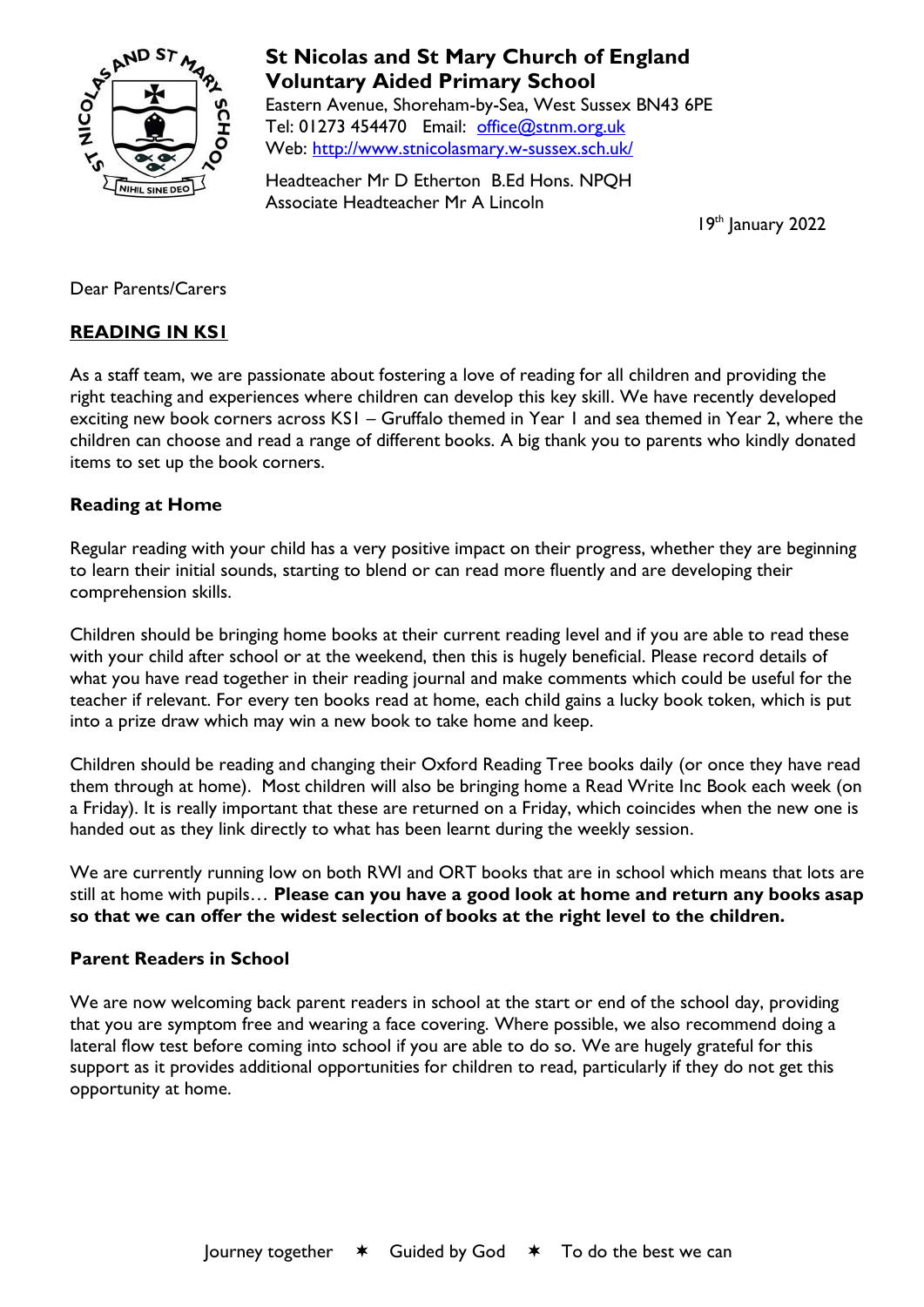

# **St Nicolas and St Mary Church of England Voluntary Aided Primary School**

Eastern Avenue, Shoreham-by-Sea, West Sussex BN43 6PE Tel: 01273 454470 Email: [office@stnm.org.uk](mailto:office@stnm.org.uk) Web:<http://www.stnicolasmary.w-sussex.sch.uk/>

Headteacher Mr D Etherton B.Ed Hons. NPQH Associate Headteacher Mr A Lincoln

19th January 2022

Dear Parents/Carers

## **READING IN KS1**

As a staff team, we are passionate about fostering a love of reading for all children and providing the right teaching and experiences where children can develop this key skill. We have recently developed exciting new book corners across KS1 – Gruffalo themed in Year 1 and sea themed in Year 2, where the children can choose and read a range of different books. A big thank you to parents who kindly donated items to set up the book corners.

### **Reading at Home**

Regular reading with your child has a very positive impact on their progress, whether they are beginning to learn their initial sounds, starting to blend or can read more fluently and are developing their comprehension skills.

Children should be bringing home books at their current reading level and if you are able to read these with your child after school or at the weekend, then this is hugely beneficial. Please record details of what you have read together in their reading journal and make comments which could be useful for the teacher if relevant. For every ten books read at home, each child gains a lucky book token, which is put into a prize draw which may win a new book to take home and keep.

Children should be reading and changing their Oxford Reading Tree books daily (or once they have read them through at home). Most children will also be bringing home a Read Write Inc Book each week (on a Friday). It is really important that these are returned on a Friday, which coincides when the new one is handed out as they link directly to what has been learnt during the weekly session.

We are currently running low on both RWI and ORT books that are in school which means that lots are still at home with pupils… **Please can you have a good look at home and return any books asap so that we can offer the widest selection of books at the right level to the children.**

### **Parent Readers in School**

We are now welcoming back parent readers in school at the start or end of the school day, providing that you are symptom free and wearing a face covering. Where possible, we also recommend doing a lateral flow test before coming into school if you are able to do so. We are hugely grateful for this support as it provides additional opportunities for children to read, particularly if they do not get this opportunity at home.